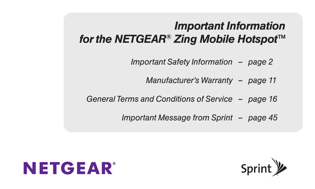# *Important Information for the NETGEAR® Zing Mobile Hotspot™*

- *Important Safety Information – page 2*
	- *Manufacturer's Warranty – page 11*
- *General Terms and Conditions of Service – page 16*
	- *Important Message from Sprint – page 45*



# **NETGEAR®**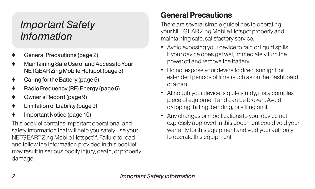# *Important Safety Information*

- General Precautions (page 2)
- Maintaining Safe Use of and Access to Your NETGEAR Zing Mobile Hotspot (page 3)
- Caring for the Battery (page 5)
- ♦ Radio Frequency (RF) Energy (page 6)
- Owner's Record (page 9)
- Limitation of Liability (page 9)
- Important Notice (page 10)

This booklet contains important operational and safety information that will help you safely use your NETGEAR® Zing Mobile Hotspot™. Failure to read and follow the information provided in this booklet may result in serious bodily injury, death, or property damage.

#### General Precautions

There are several simple guidelines to operating your NETGEAR Zing Mobile Hotspot properly and maintaining safe, satisfactory service.

- Avoid exposing your device to rain or liquid spills. If your device does get wet, immediately turn the power off and remove the battery.
- • Do not expose your device to direct sunlight for extended periods of time (such as on the dashboard of a car).
- Although your device is quite sturdy, it is a complex piece of equipment and can be broken. Avoid dropping, hitting, bending, or sitting on it.
- • Any changes or modifications to your device not expressly approved in this document could void your warranty for this equipment and void your authority to operate this equipment.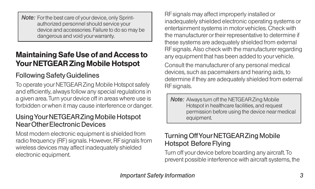*Note:* For the best care of your device, only Sprintauthorized personnel should service your device and accessories. Failure to do so may be dangerous and void your warranty.

#### Maintaining Safe Use of and Access to Your NETGEAR Zing Mobile Hotspot

#### Following Safety Guidelines

To operate your NETGEAR Zing Mobile Hotspot safely and efficiently, always follow any special regulations in a given area. Turn your device off in areas where use is forbidden or when it may cause interference or danger.

#### Using Your NETGEAR Zing Mobile Hotspot Near Other Electronic Devices

Most modern electronic equipment is shielded from radio frequency (RF) signals. However, RF signals from wireless devices may affect inadequately shielded electronic equipment.

RF signals may affect improperly installed or inadequately shielded electronic operating systems or entertainment systems in motor vehicles. Check with the manufacturer or their representative to determine if these systems are adequately shielded from external RF signals. Also check with the manufacturer regarding any equipment that has been added to your vehicle.

Consult the manufacturer of any personal medical devices, such as pacemakers and hearing aids, to determine if they are adequately shielded from external RF signals.

*Note:* Always turn off the NETGEAR Zing Mobile Hotspot in healthcare facilities, and request permission before using the device near medical equipment.

#### Turning Off Your NETGEAR Zing Mobile Hotspot Before Flying

Turn off your device before boarding any aircraft. To prevent possible interference with aircraft systems, the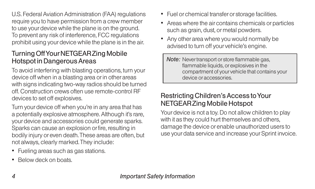U.S. Federal Aviation Administration (FAA) regulations require you to have permission from a crew member to use your device while the plane is on the ground. To prevent any risk of interference, FCC regulations prohibit using your device while the plane is in the air.

#### Turning Off Your NETGEAR Zing Mobile Hotspot in Dangerous Areas

To avoid interfering with blasting operations, turn your device off when in a blasting area or in other areas with signs indicating two-way radios should be turned off. Construction crews often use remote-control RF devices to set off explosives.

Turn your device off when you're in any area that has a potentially explosive atmosphere. Although it's rare, your device and accessories could generate sparks. Sparks can cause an explosion or fire, resulting in bodily injury or even death. These areas are often, but not always, clearly marked. They include:

- Fueling areas such as gas stations.
- Below deck on boats.
- Fuel or chemical transfer or storage facilities.
- • Areas where the air contains chemicals or particles such as grain, dust, or metal powders.
- Any other area where you would normally be advised to turn off your vehicle's engine.

**Note:** Never transport or store flammable gas, flammable liquids, or explosives in the compartment of your vehicle that contains your device or accessories.

#### Restricting Children's Access to Your NETGEAR Zing Mobile Hotspot

Your device is not a toy. Do not allow children to play with it as they could hurt themselves and others, damage the device or enable unauthorized users to use your data service and increase your Sprint invoice.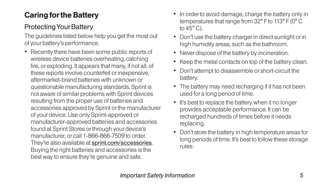# Caring for the Battery

#### Protecting Your Battery

The guidelines listed below help you get the most out of your battery's performance.

• Recently there have been some public reports of wireless device batteries overheating, catching fire, or exploding. It appears that many, if not all, of these reports involve counterfeit or inexpensive, aftermarket-brand batteries with unknown or questionable manufacturing standards. Sprint is not aware of similar problems with Sprint devices resulting from the proper use of batteries and accessories approved by Sprint or the manufacturer of your device. Use only Sprint-approved or manufacturer-approved batteries and accessories found at Sprint Stores or through your device's manufacturer, or call 1-866-866-7509 to order. They're also available at sprint.com/accessories. Buying the right batteries and accessories is the best way to ensure they're genuine and safe.

- In order to avoid damage, charge the battery only in temperatures that range from 32° F to 113° F (0° C to 45° C).
- Don't use the battery charger in direct sunlight or in high humidity areas, such as the bathroom.
- Never dispose of the battery by incineration.
- Keep the metal contacts on top of the battery clean.
- • Don't attempt to disassemble or short-circuit the battery.
- The battery may need recharging if it has not been used for a long period of time.
- It's best to replace the battery when it no longer provides acceptable performance. It can be recharged hundreds of times before it needs replacing.
- Don't store the battery in high temperature areas for long periods of time. It's best to follow these storage rules: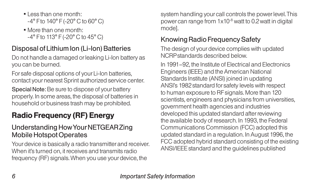- Less than one month: -4° F to 140° F (-20° C to 60° C)
- More than one month: -4° F to 113° F (-20° C to 45° C)

#### Disposal of Lithium Ion (Li-Ion) Batteries

Do not handle a damaged or leaking Li-Ion battery as you can be burned.

For safe disposal options of your Li-Ion batteries, contact your nearest Sprint authorized service center.

Special Note: Be sure to dispose of your battery properly. In some areas, the disposal of batteries in household or business trash may be prohibited.

# Radio Frequency (RF) Energy

#### Understanding How Your NETGEAR Zing Mobile Hotspot Operates

Your device is basically a radio transmitter and receiver. When it's turned on, it receives and transmits radio frequency (RF) signals. When you use your device, the

system handling your call controls the power level. This power can range from 1x10-8 watt to 0.2 watt in digital mode].

#### Knowing Radio Frequency Safety

The design of your device complies with updated NCRP standards described below.

In 1991–92, the Institute of Electrical and Electronics Engineers (IEEE) and the American National Standards Institute (ANSI) joined in updating ANSI's 1982 standard for safety levels with respect to human exposure to RF signals. More than 120 scientists, engineers and physicians from universities, government health agencies and industries developed this updated standard after reviewing the available body of research. In 1993, the Federal Communications Commission (FCC) adopted this updated standard in a regulation. In August 1996, the FCC adopted hybrid standard consisting of the existing ANSI/IEEE standard and the guidelines published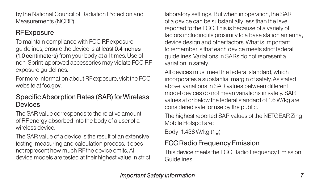by the National Council of Radiation Protection and Measurements (NCRP).

#### **RF** Exposure

To maintain compliance with FCC RF exposure guidelines, ensure the device is at least 0.4 inches (1.0 centimeters) from your body at all times. Use of non-Sprint-approved accessories may violate FCC RF exposure guidelines.

For more information about RF exposure, visit the FCC website at fcc.gov.

#### Specific Absorption Rates (SAR) for Wireless Devices

The SAR value corresponds to the relative amount of RF energy absorbed into the body of a user of a wireless device.

The SAR value of a device is the result of an extensive testing, measuring and calculation process. It does not represent how much RF the device emits. All device models are tested at their highest value in strict laboratory settings. But when in operation, the SAR of a device can be substantially less than the level reported to the FCC. This is because of a variety of factors including its proximity to a base station antenna, device design and other factors. What is important to remember is that each device meets strict federal guidelines. Variations in SARs do not represent a variation in safety.

All devices must meet the federal standard, which incorporates a substantial margin of safety. As stated above, variations in SAR values between different model devices do not mean variations in safety. SAR values at or below the federal standard of 1.6 W/kg are considered safe for use by the public.

The highest reported SAR values of the NETGEAR Zing Mobile Hotspot are:

Body: 1.438 W/kg (1g)

#### FCC Radio Frequency Emission

This device meets the FCC Radio Frequency Emission Guidelines.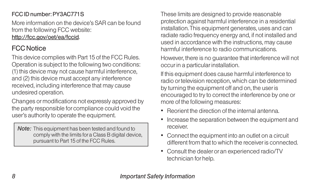#### FCC ID number: PY3AC771S

More information on the device's SAR can be found from the following FCC website: http://fcc.gov/oet/ea/fccid.

#### FCC Notice

This device complies with Part 15 of the FCC Rules. Operation is subject to the following two conditions: (1) this device may not cause harmful interference, and (2) this device must accept any interference received, including interference that may cause undesired operation.

Changes or modifications not expressly approved by the party responsible for compliance could void the user's authority to operate the equipment.

*Note:* This equipment has been tested and found to comply with the limits for a Class B digital device, pursuant to Part 15 of the FCC Rules.

These limits are designed to provide reasonable protection against harmful interference in a residential installation. This equipment generates, uses and can radiate radio frequency energy and, if not installed and used in accordance with the instructions, may cause harmful interference to radio communications.

However, there is no guarantee that interference will not occur in a particular installation.

If this equipment does cause harmful interference to radio or television reception, which can be determined by turning the equipment off and on, the user is encouraged to try to correct the interference by one or more of the following measures:

- • Reorient the direction of the internal antenna.
- Increase the separation between the equipment and receiver.
- Connect the equipment into an outlet on a circuit different from that to which the receiver is connected.
- • Consult the dealer or an experienced radio/TV technician for help.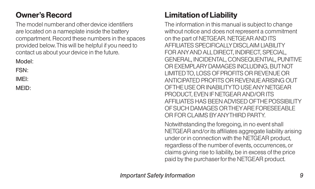## Owner's Record

The model number and other device identifiers are located on a nameplate inside the battery compartment. Record these numbers in the spaces provided below. This will be helpful if you need to contact us about your device in the future.

Model:

FSN:

IMEI:

MEID:

# Limitation of Liability

The information in this manual is subject to change without notice and does not represent a commitment on the part of NETGEAR. NETGEAR AND ITS AFFILIATES SPECIFICALLY DISCLAIM LIABILITY FOR ANY AND ALL DIRECT, INDIRECT, SPECIAL, GENERAL, INCIDENTAL, CONSEQUENTIAL, PUNITIVE OR EXEMPLARY DAMAGES INCLUDING, BUT NOT LIMITED TO, LOSS OF PROFITS OR REVENUE OR ANTICIPATED PROFITS OR REVENUE ARISING OUT OF THE USE OR INABILITY TO USE ANY NETGEAR PRODUCT, EVEN IF NETGEAR AND/OR ITS AFFILIATES HAS BEEN ADVISED OF THE POSSIBILITY OF SUCH DAMAGES OR THEY ARE FORESEEABLE OR FOR CLAIMS BY ANY THIRD PARTY.

Notwithstanding the foregoing, in no event shall NETGEAR and/or its affiliates aggregate liability arising under or in connection with the NETGEAR product, regardless of the number of events, occurrences, or claims giving rise to liability, be in excess of the price paid by the purchaser for the NETGEAR product.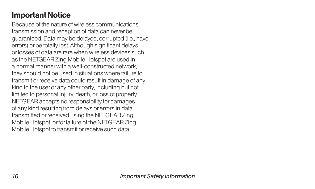### Important Notice

Because of the nature of wireless communications, transmission and reception of data can never be guaranteed. Data may be delayed, corrupted (i.e., have errors) or be totally lost. Although significant delays or losses of data are rare when wireless devices such as the NETGEAR Zing Mobile Hotspot are used in a normal manner with a well-constructed network, they should not be used in situations where failure to transmit or receive data could result in damage of any kind to the user or any other party, including but not limited to personal injury, death, or loss of property. NETGEAR accepts no responsibility for damages of any kind resulting from delays or errors in data transmitted or received using the NETGEAR Zing Mobile Hotspot, or for failure of the NETGEAR Zing Mobile Hotspot to transmit or receive such data.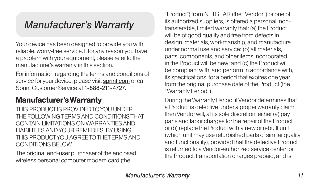# *Manufacturer's Warranty*

Your device has been designed to provide you with reliable, worry-free service. If for any reason you have a problem with your equipment, please refer to the manufacturer's warranty in this section.

For information regarding the terms and conditions of service for your device, please visit sprint.com or call Sprint Customer Service at 1-888-211-4727.

#### Manufacturer's Warranty

THIS PRODUCT IS PROVIDED TO YOU UNDER THE FOLLOWING TERMS AND CONDITIONS THAT CONTAIN LIMITATIONS ON WARRANTIES AND LIABILITIES AND YOUR REMEDIES. BY USING THIS PRODUCT YOU AGREE TO THE TERMS AND CONDITIONS BELOW.

The original end-user purchaser of the enclosed wireless personal computer modem card (the

"Product") from NETGEAR (the "Vendor") or one of its authorized suppliers, is offered a personal, nontransferable, limited warranty that: (a) the Product will be of good quality and free from defects in design, materials, workmanship, and manufacture under normal use and service; (b) all materials, parts, components, and other items incorporated in the Product will be new; and (c) the Product will be compliant with, and perform in accordance with, its specifications, for a period that expires one year from the original purchase date of the Product (the "Warranty Period").

During the Warranty Period, if Vendor determines that a Product is defective under a proper warranty claim, then Vendor will, at its sole discretion, either (a) pay parts and labor charges for the repair of the Product, or (b) replace the Product with a new or rebuilt unit (which unit may use refurbished parts of similar quality and functionality), provided that the defective Product is returned to a Vendor-authorized service center for the Product, transportation charges prepaid, and is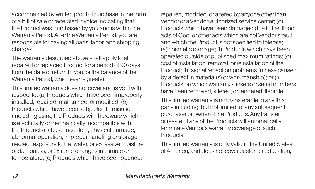accompanied by written proof of purchase in the form of a bill of sale or receipted invoice indicating that the Product was purchased by you and is within the Warranty Period. After the Warranty Period, you are responsible for paying all parts, labor, and shipping charges.

The warranty described above shall apply to all repaired or replaced Product for a period of 90 days from the date of return to you, or the balance of the Warranty Period, whichever is greater.

This limited warranty does not cover and is void with respect to: (a) Products which have been improperly installed, repaired, maintained, or modified; (b) Products which have been subjected to misuse (including using the Products with hardware which is electrically or mechanically incompatible with the Products), abuse, accident, physical damage, abnormal operation, improper handling or storage, neglect, exposure to fire, water, or excessive moisture or dampness, or extreme changes in climate or temperature; (c) Products which have been opened,

repaired, modified, or altered by anyone other than Vendor or a Vendor-authorized service center; (d) Products which have been damaged due to fire, flood, acts of God, or other acts which are not Vendor's fault and which the Product is not specified to tolerate; (e) cosmetic damage; (f) Products which have been operated outside of published maximum ratings; (g) cost of installation, removal, or reinstallation of the Product; (h) signal reception problems (unless caused by a defect in material(s) or workmanship); or (i) Products on which warranty stickers or serial numbers have been removed, altered, or rendered illegible.

This limited warranty is not transferable to any third party including, but not limited to, any subsequent purchaser or owner of the Products. Any transfer or resale of any of the Products will automatically terminate Vendor's warranty coverage of such **Products** 

This limited warranty is only valid in the United States of America, and does not cover customer education,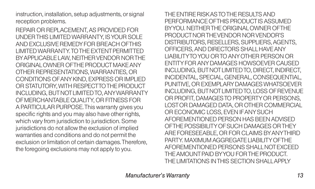instruction, installation, setup adjustments, or signal reception problems.

REPAIR OR REPLACEMENT, AS PROVIDED FOR UNDER THIS LIMITED WARRANTY, IS YOUR SOLE AND EXCLUSIVE REMEDY FOR BREACH OFTHIS LIMITED WARRANTY. TO THE EXTENT PERMITTED BY APPLICABLE LAW, NEITHER VENDOR NOR THE ORIGINAL OWNER OF THE PRODUCT MAKE ANY OTHER REPRESENTATIONS, WARRANTIES, OR CONDITIONS OF ANY KIND, EXPRESS OR IMPLIED OR STATUTORY, WITH RESPECT TO THE PRODUCT INCLUDING, BUT NOT LIMITED TO, ANY WARRANTY OF MERCHANTABLE QUALITY, OR FITNESS FOR A PARTICULAR PURPOSE. This warranty gives you specific rights and you may also have other rights, which vary from jurisdiction to jurisdiction. Some jurisdictions do not allow the exclusion of implied warranties and conditions and do not permit the exclusion or limitation of certain damages. Therefore, the foregoing exclusions may not apply to you.

THE ENTIRE RISK AS TO THE RESULTS AND PERFORMANCE OF THIS PRODUCT IS ASSUMED BY YOU. NEITHER THE ORIGINAL OWNER OF THE PRODUCT NOR THE VENDOR NOR VENDOR'S DISTRIBUTORS, RESELLERS, SUPPLIERS, AGENTS, OFFICERS, AND DIRECTORS SHALL HAVE ANY LIABILITY TO YOU OR TO ANY OTHER PERSON OR ENTITY FOR ANY DAMAGES HOWSOEVER CAUSED INCLUDING, BUT NOT LIMITED TO, DIRECT, INDIRECT, INCIDENTAL, SPECIAL, GENERAL, CONSEQUENTIAL, PUNITIVE, OR EXEMPLARY DAMAGES WHATSOEVER INCLUDING, BUT NOT LIMITED TO, LOSS OF REVENUE OR PROFIT, DAMAGES TO PROPERTY OR PERSONS, LOST OR DAMAGED DATA, OR OTHER COMMERCIAL OR ECONOMIC LOSS, EVEN IF ANY SUCH AFOREMENTIONED PERSON HAS BEEN ADVISED OF THE POSSIBILITY OF SUCH DAMAGES OR THEY ARE FORESEEABLE, OR FOR CLAIMS BY ANY THIRD PARTY MAXIMUM AGGREGATE LIABILITY OF THE AFOREMENTIONED PERSONS SHALL NOT EXCEED THE AMOUNT PAID BY YOU FOR THE PRODUCT. THE LIMITATIONS IN THIS SECTION SHALL APPLY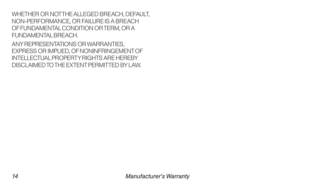WHETHER OR NOTTHE ALLEGED BREACH, DEFAULT, NON-PERFORMANCE, OR FAILURE IS A BREACH OF FUNDAMENTAL CONDITION OR TERM, OR A FUNDAMENTAL BREACH.

ANY REPRESENTATIONS OR WARRANTIES, EXPRESS OR IMPLIED, OF NONINFRINGEMENT OF INTELLECTUAL PROPERTY RIGHTS ARE HEREBY DISCLAIMED TO THE EXTENT PERMITTED BY LAW.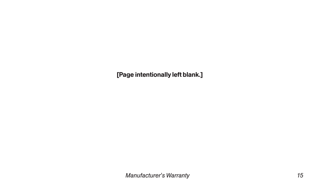[Page intentionally left blank.]

 *14 Manufacturer's Warranty Manufacturer's Warranty 15*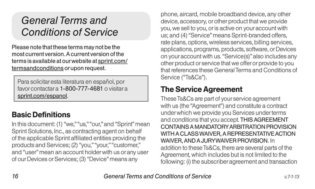# *General Terms and Conditions of Service*

Please note that these terms may not be the most current version. A current version of the terms is available at our website at sprint.com/ termsandconditions or upon request.

Para solicitar esta literatura en español, por favor contactar a 1-800-777-4681 o visitar a sprint.com/espanol.

### Basic Definitions

In this document: (1) "we," "us," "our," and "Sprint" mean Sprint Solutions, Inc., as contracting agent on behalf of the applicable Sprint affiliated entities providing the products and Services; (2) "you," "your," "customer," and "user" mean an account holder with us or any user of our Devices or Services; (3) "Device" means any

phone, aircard, mobile broadband device, any other device, accessory, or other product that we provide you, we sell to you, or is active on your account with us; and (4) "Service" means Sprint-branded offers, rate plans, options, wireless services, billing services, applications, programs, products, software, or Devices on your account with us. "Service(s)" also includes any other product or service that we offer or provide to you that references these General Terms and Conditions of Service ("Ts&Cs").

#### The Service Agreement

These Ts&Cs are part of your service agreement with us (the "Agreement") and constitute a contract under which we provide you Services under terms and conditions that you accept. THIS AGREEMENT CONTAINS A MANDATORY ARBITRATION PROVISION WITH A CLASS WAIVER, A REPRESENTATIVE ACTION WAIVER, AND A JURY WAIVER PROVISION. In addition to these Ts&Cs, there are several parts of the Agreement, which includes but is not limited to the following: (i) the subscriber agreement and transaction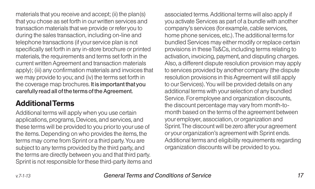materials that you receive and accept; (ii) the plan(s) that you chose as set forth in our written services and transaction materials that we provide or refer you to during the sales transaction, including on-line and telephone transactions (if your service plan is not specifically set forth in any in-store brochure or printed materials, the requirements and terms set forth in the current written Agreement and transaction materials apply); (iii) any confirmation materials and invoices that we may provide to you; and (iv) the terms set forth in the coverage map brochures. It is important that you carefully read all of the terms of the Agreement.

#### Additional Terms

Additional terms will apply when you use certain applications, programs, Devices, and services, and these terms will be provided to you prior to your use of the items. Depending on who provides the items, the terms may come from Sprint or a third party. You are subject to any terms provided by the third party, and the terms are directly between you and that third party. Sprint is not responsible for these third-party items and

associated terms. Additional terms will also apply if you activate Services as part of a bundle with another company's services (for example, cable services, home phone services, etc.). The additional terms for bundled Services may either modify or replace certain provisions in these Ts&Cs, including terms relating to activation, invoicing, payment, and disputing charges. Also, a different dispute resolution provision may apply to services provided by another company (the dispute resolution provisions in this Agreement will still apply to our Services). You will be provided details on any additional terms with your selection of any bundled Service. For employee and organization discounts, the discount percentage may vary from month-tomonth based on the terms of the agreement between your employer, association, or organization and Sprint. The discount will be zero after your agreement or your organization's agreement with Sprint ends. Additional terms and eligibility requirements regarding organization discounts will be provided to you.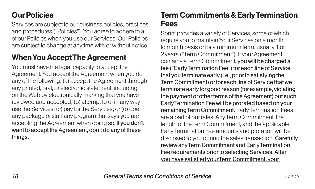### Our Policies

Services are subject to our business policies, practices, and procedures ("Policies"). You agree to adhere to all of our Policies when you use our Services. Our Policies are subject to change at anytime with or without notice.

#### When You Accept The Agreement

You must have the legal capacity to accept the Agreement. You accept the Agreement when you do any of the following: (a) accept the Agreement through any printed, oral, or electronic statement, including on the Web by electronically marking that you have reviewed and accepted; (b) attempt to or in any way use the Services; (c) pay for the Services; or (d) open any package or start any program that says you are accepting the Agreement when doing so. If you don't want to accept the Agreement, don't do any of these things.

#### Term Commitments & Early Termination Fees

Sprint provides a variety of Services, some of which require you to maintain Your Services on a month to month basis or for a minimum term, usually 1 or 2 years ("Term Commitment"). If your Agreement contains a Term Commitment, you will be charged a fee ("Early Termination Fee") for each line of Service that you terminate early (i.e., prior to satisfying the Term Commitment) or for each line of Service that we terminate early for good reason (for example, violating the payment or other terms of the Agreement) but such Early Termination Fee will be prorated based on your remaining Term Commitment. Early Termination Fees are a part of our rates. Any Term Commitment, the length of the Term Commitment, and the applicable Early Termination Fee amounts and proration will be disclosed to you during the sales transaction. Carefully review any Term Commitment and Early Termination Fee requirements prior to selecting Services. After you have satisfied your Term Commitment, your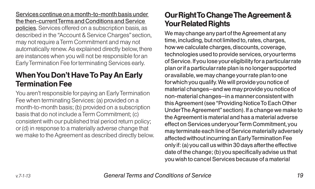Services continue on a month-to-month basis under the then-current Terms and Conditions and Service policies. Services offered on a subscription basis, as described in the "Account & Service Charges" section, may not require a Term Commitment and may not automatically renew. As explained directly below, there are instances when you will not be responsible for an Early Termination Fee for terminating Services early.

#### When You Don't Have To Pay An Early Termination Fee

You aren't responsible for paying an Early Termination Fee when terminating Services: (a) provided on a month-to-month basis; (b) provided on a subscription basis that do not include a Term Commitment; (c) consistent with our published trial period return policy; or (d) in response to a materially adverse change that we make to the Agreement as described directly below.

#### Our Right To Change The Agreement & Your Related Rights

We may change any part of the Agreement at any time, including, but not limited to, rates, charges. how we calculate charges, discounts, coverage, technologies used to provide services, or your terms of Service. If you lose your eligibility for a particular rate plan or if a particular rate plan is no longer supported or available, we may change your rate plan to one for which you qualify. We will provide you notice of material changes—and we may provide you notice of non-material changes—in a manner consistent with this Agreement (see "Providing Notice To Each Other Under The Agreement" section). If a change we make to the Agreement is material and has a material adverse effect on Services under your Term Commitment, you may terminate each line of Service materially adversely affected without incurring an Early Termination Fee only if: (a) you call us within 30 days after the effective date of the change; (b) you specifically advise us that you wish to cancel Services because of a material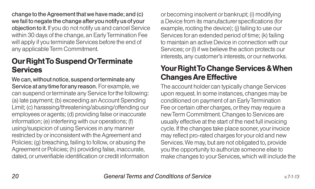change to the Agreement that we have made; and (c) we fail to negate the change after you notify us of your objection to it. If you do not notify us and cancel Service within 30 days of the change, an Early Termination Fee will apply if you terminate Services before the end of any applicable Term Commitment.

#### Our Right To Suspend Or Terminate **Services**

We can, without notice, suspend or terminate any Service at any time for any reason. For example, we can suspend or terminate any Service for the following: (a) late payment; (b) exceeding an Account Spending Limit; (c) harassing/threatening/abusing/offending our employees or agents; (d) providing false or inaccurate information; (e) interfering with our operations; (f) using/suspicion of using Services in any manner restricted by or inconsistent with the Agreement and Policies; (g) breaching, failing to follow, or abusing the Agreement or Policies; (h) providing false, inaccurate, dated, or unverifiable identification or credit information or becoming insolvent or bankrupt; (i) modifying a Device from its manufacturer specifications (for example, rooting the device); (j) failing to use our Services for an extended period of time; (k) failing to maintain an active Device in connection with our Services; or (l) if we believe the action protects our interests, any customer's interests, or our networks.

#### Your Right To Change Services & When Changes Are Effective

The account holder can typically change Services upon request. In some instances, changes may be conditioned on payment of an Early Termination Fee or certain other charges, or they may require a new Term Commitment. Changes to Services are usually effective at the start of the next full invoicing cycle. If the changes take place sooner, your invoice may reflect pro-rated charges for your old and new Services. We may, but are not obligated to, provide you the opportunity to authorize someone else to make changes to your Services, which will include the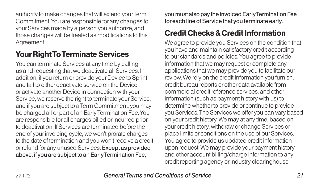authority to make changes that will extend your Term Commitment. You are responsible for any changes to your Services made by a person you authorize, and those changes will be treated as modifications to this Agreement.

### Your Right To Terminate Services

You can terminate Services at any time by calling us and requesting that we deactivate all Services. In addition, if you return or provide your Device to Sprint and fail to either deactivate service on the Device or activate another Device in connection with your Service, we reserve the right to terminate your Service, and if you are subject to a Term Commitment, you may be charged all or part of an Early Termination Fee. You are responsible for all charges billed or incurred prior to deactivation. If Services are terminated before the end of your invoicing cycle, we won't prorate charges to the date of termination and you won't receive a credit or refund for any unused Services. Except as provided above, if you are subject to an Early Termination Fee,

you must also pay the invoiced Early Termination Fee for each line of Service that you terminate early.

#### Credit Checks & Credit Information

We agree to provide you Services on the condition that you have and maintain satisfactory credit according to our standards and policies. You agree to provide information that we may request or complete any applications that we may provide you to facilitate our review. We rely on the credit information you furnish, credit bureau reports or other data available from commercial credit reference services, and other information (such as payment history with us) to determine whether to provide or continue to provide you Services. The Services we offer you can vary based on your credit history. We may at any time, based on your credit history, withdraw or change Services or place limits or conditions on the use of our Services. You agree to provide us updated credit information upon request. We may provide your payment history and other account billing/charge information to any credit reporting agency or industry clearinghouse.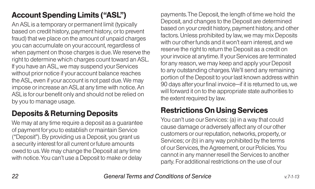# Account Spending Limits ("ASL")

An ASL is a temporary or permanent limit (typically based on credit history, payment history, or to prevent fraud) that we place on the amount of unpaid charges you can accumulate on your account, regardless of when payment on those charges is due. We reserve the right to determine which charges count toward an ASL. If you have an ASL, we may suspend your Services without prior notice if your account balance reaches the ASL, even if your account is not past due. We may impose or increase an ASL at any time with notice. An ASL is for our benefit only and should not be relied on by you to manage usage.

## Deposits & Returning Deposits

We may at any time require a deposit as a guarantee of payment for you to establish or maintain Service ("Deposit"). By providing us a Deposit, you grant us a security interest for all current or future amounts owed to us. We may change the Deposit at any time with notice. You can't use a Deposit to make or delay payments. The Deposit, the length of time we hold the Deposit, and changes to the Deposit are determined based on your credit history, payment history, and other factors. Unless prohibited by law, we may mix Deposits with our other funds and it won't earn interest, and we reserve the right to return the Deposit as a credit on your invoice at anytime. If your Services are terminated for any reason, we may keep and apply your Deposit to any outstanding charges. We'll send any remaining portion of the Deposit to your last known address within 90 days after your final invoice—if it is returned to us, we will forward it on to the appropriate state authorities to the extent required by law.

### Restrictions On Using Services

You can't use our Services: (a) in a way that could cause damage or adversely affect any of our other customers or our reputation, networks, property, or Services; or (b) in any way prohibited by the terms of our Services, the Agreement, or our Policies. You cannot in any manner resell the Services to another party. For additional restrictions on the use of our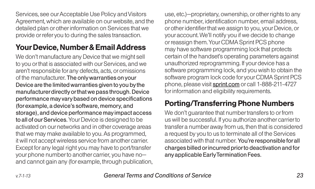Services, see our Acceptable Use Policy and Visitors Agreement, which are available on our website, and the detailed plan or other information on Services that we provide or refer you to during the sales transaction.

### Your Device, Number & Email Address

We don't manufacture any Device that we might sell to you or that is associated with our Services, and we aren't responsible for any defects, acts, or omissions of the manufacturer. The only warranties on your Device are the limited warranties given to you by the manufacturer directly or that we pass through. Device performance may vary based on device specifications (for example, a device's software, memory, and storage), and device performance may impact access to all of our Services. Your Device is designed to be activated on our networks and in other coverage areas that we may make available to you. As programmed, it will not accept wireless service from another carrier. Except for any legal right you may have to port/transfer your phone number to another carrier, you have no and cannot gain any (for example, through publication,

use, etc.)—proprietary, ownership, or other rights to any phone number, identification number, email address, or other identifier that we assign to you, your Device, or your account. We'll notify you if we decide to change or reassign them. Your CDMA Sprint PCS phone may have software programming lock that protects certain of the handset's operating parameters against unauthorized reprogramming. If your device has a software programming lock, and you wish to obtain the software program lock code for your CDMA Sprint PCS phone, please visit sprint.com or call 1-888-211-4727 for information and eligibility requirements.

# Porting/Transferring Phone Numbers

We don't quarantee that number transfers to or from us will be successful. If you authorize another carrier to transfer a number away from us, then that is considered a request by you to us to terminate all of the Services associated with that number. You're responsible for all charges billed or incurred prior to deactivation and for any applicable Early Termination Fees.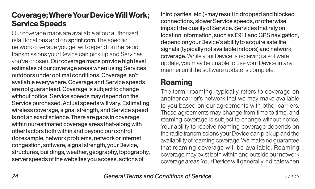#### Coverage; Where Your Device Will Work; Service Speeds

Our coverage maps are available at our authorized retail locations and on sprint.com. The specific network coverage you get will depend on the radio transmissions your Device can pick up and Services you've chosen. Our coverage maps provide high level estimates of our coverage areas when using Services outdoors under optimal conditions. Coverage isn't available everywhere. Coverage and Service speeds are not guaranteed. Coverage is subject to change without notice. Service speeds may depend on the Service purchased. Actual speeds will vary. Estimating wireless coverage, signal strength, and Service speed is not an exact science. There are gaps in coverage within our estimated coverage areas that-along with other factors both within and beyond our control (for example, network problems, network or Internet congestion, software, signal strength, your Device, structures, buildings, weather, geography, topography, server speeds of the websites you access, actions of

third parties, etc.)-may result in dropped and blocked connections, slower Service speeds, or otherwise impact the quality of Service. Services that rely on location information, such as E911 and GPS navigation, depend on your Device's ability to acquire satellite signals (typically not available indoors) and network coverage. While your Device is receiving a software update, you may be unable to use your Device in any manner until the software update is complete.

#### Roaming

The term "roaming" typically refers to coverage on another carrier's network that we may make available to you based on our agreements with other carriers. These agreements may change from time to time, and roaming coverage is subject to change without notice. Your ability to receive roaming coverage depends on the radio transmissions your Device can pick up and the availability of roaming coverage. We make no guarantee that roaming coverage will be available. Roaming coverage may exist both within and outside our network coverage areas. Your Device will generally indicate when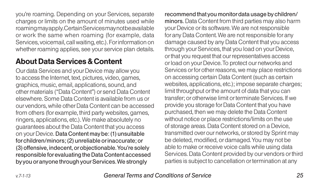you're roaming. Depending on your Services, separate charges or limits on the amount of minutes used while roaming may apply. Certain Services may not be available or work the same when roaming (for example, data Services, voicemail, call waiting, etc.). For information on whether roaming applies, see your service plan details.

#### About Data Services & Content

Our data Services and your Device may allow you to access the Internet, text, pictures, video, games, graphics, music, email, applications, sound, and other materials ("Data Content") or send Data Content elsewhere. Some Data Content is available from us or our vendors, while other Data Content can be accessed from others (for example, third party websites, games, ringers, applications, etc.). We make absolutely no guarantees about the Data Content that you access on your Device. Data Content may be: (1) unsuitable for children/minors; (2) unreliable or inaccurate; or (3) offensive, indecent, or objectionable. You're solely responsible for evaluating the Data Content accessed by you or anyone through your Services. We strongly

recommend that you monitor data usage by children/ minors. Data Content from third parties may also harm your Device or its software. We are not responsible for any Data Content. We are not responsible for any damage caused by any Data Content that you access through your Services, that you load on your Device, or that you request that our representatives access or load on your Device. To protect our networks and Services or for other reasons, we may place restrictions on accessing certain Data Content (such as certain websites, applications, etc.); impose separate charges; limit throughput or the amount of data that you can transfer; or otherwise limit or terminate Services. If we provide you storage for Data Content that you have purchased, then we may delete the Data Content without notice or place restrictions/limits on the use of storage areas. Data Content stored on a Device, transmitted over our networks, or stored by Sprint may be deleted, modified, or damaged. You may not be able to make or receive voice calls while using data Services. Data Content provided by our vendors or third parties is subject to cancellation or termination at any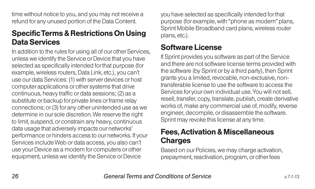time without notice to you, and you may not receive a refund for any unused portion of the Data Content.

#### Specific Terms & Restrictions On Using Data Services

In addition to the rules for using all of our other Services, unless we identify the Service or Device that you have selected as specifically intended for that purpose (for example, wireless routers, Data Link, etc.), you can't use our data Services: (1) with server devices or host computer applications or other systems that drive continuous, heavy traffic or data sessions; (2) as a substitute or backup for private lines or frame relay connections; or (3) for any other unintended use as we determine in our sole discretion. We reserve the right to limit, suspend, or constrain any heavy, continuous data usage that adversely impacts our networks' performance or hinders access to our networks. If your Services include Web or data access, you also can't use your Device as a modem for computers or other equipment, unless we identify the Service or Device

you have selected as specifically intended for that purpose (for example, with "phone as modem" plans, Sprint Mobile Broadband card plans, wireless router plans, etc.).

#### Software License

If Sprint provides you software as part of the Service and there are not software license terms provided with the software (by Sprint or by a third party), then Sprint grants you a limited, revocable, non-exclusive, nontransferable license to use the software to access the Services for your own individual use. You will not sell, resell, transfer, copy, translate, publish, create derivative works of, make any commercial use of, modify, reverse engineer, decompile, or disassemble the software. Sprint may revoke this license at any time.

#### Fees, Activation & Miscellaneous **Charges**

Based on our Policies, we may charge activation, prepayment, reactivation, program, or other fees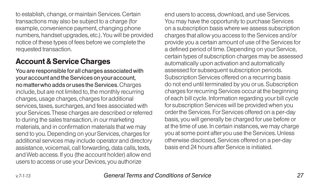to establish, change, or maintain Services. Certain transactions may also be subject to a charge (for example, convenience payment, changing phone numbers, handset upgrades, etc.). You will be provided notice of these types of fees before we complete the requested transaction.

#### Account & Service Charges

You are responsible for all charges associated with your account and the Services on your account, no matter who adds or uses the Services. Charges include, but are not limited to, the monthly recurring charges, usage charges, charges for additional services, taxes, surcharges, and fees associated with your Services. These charges are described or referred to during the sales transaction, in our marketing materials, and in confirmation materials that we may send to you. Depending on your Services, charges for additional services may include operator and directory assistance, voicemail, call forwarding, data calls, texts, and Web access. If you (the account holder) allow end users to access or use your Devices, you authorize

end users to access, download, and use Services. You may have the opportunity to purchase Services on a subscription basis where we assess subscription charges that allow you access to the Services and/or provide you a certain amount of use of the Services for a defined period of time. Depending on your Service, certain types of subscription charges may be assessed automatically upon activation and automatically assessed for subsequent subscription periods. Subscription Services offered on a recurring basis do not end until terminated by you or us. Subscription charges for recurring Services occur at the beginning of each bill cycle. Information regarding your bill cycle for subscription Services will be provided when you order the Services. For Services offered on a per-day basis, you will generally be charged for use before or at the time of use. In certain instances, we may charge you at some point after you use the Services. Unless otherwise disclosed, Services offered on a per-day basis end 24 hours after Service is initiated.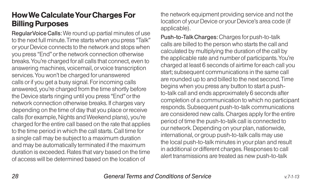#### How We Calculate Your Charges For Billing Purposes

Regular Voice Calls: We round up partial minutes of use to the next full minute. Time starts when you press "Talk" or your Device connects to the network and stops when you press "End" or the network connection otherwise breaks. You're charged for all calls that connect, even to answering machines, voicemail, or voice transcription services. You won't be charged for unanswered calls or if you get a busy signal. For incoming calls answered, you're charged from the time shortly before the Device starts ringing until you press "End" or the network connection otherwise breaks. If charges vary depending on the time of day that you place or receive calls (for example, Nights and Weekend plans), you're charged for the entire call based on the rate that applies to the time period in which the call starts. Call time for a single call may be subject to a maximum duration and may be automatically terminated if the maximum duration is exceeded. Rates that vary based on the time of access will be determined based on the location of

the network equipment providing service and not the location of your Device or your Device's area code (if applicable).

Push-to-Talk Charges: Charges for push-to-talk calls are billed to the person who starts the call and calculated by multiplying the duration of the call by the applicable rate and number of participants. You're charged at least 6 seconds of airtime for each call you start; subsequent communications in the same call are rounded up to and billed to the next second. Time begins when you press any button to start a pushto-talk call and ends approximately 6 seconds after completion of a communication to which no participant responds. Subsequent push-to-talk communications are considered new calls. Charges apply for the entire period of time the push-to-talk call is connected to our network. Depending on your plan, nationwide, international, or group push-to-talk calls may use the local push-to-talk minutes in your plan and result in additional or different charges. Responses to call alert transmissions are treated as new push-to-talk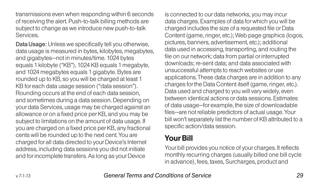transmissions even when responding within 6 seconds of receiving the alert. Push-to-talk billing methods are subject to change as we introduce new push-to-talk **Services** 

Data Usage: Unless we specifically tell you otherwise, data usage is measured in bytes, kilobytes, megabytes, and gigabytes—not in minutes/time. 1024 bytes equals 1 kilobyte ("KB"), 1024 KB equals 1 megabyte, and 1024 megabytes equals 1 gigabyte. Bytes are rounded up to KB, so you will be charged at least 1 KB for each data usage session ("data session"). Rounding occurs at the end of each data session, and sometimes during a data session. Depending on your data Services, usage may be charged against an allowance or on a fixed price per KB, and you may be subject to limitations on the amount of data usage. If you are charged on a fixed price per KB, any fractional cents will be rounded up to the next cent. You are charged for all data directed to your Device's Internet address, including data sessions you did not initiate and for incomplete transfers. As long as your Device

is connected to our data networks, you may incur data charges. Examples of data for which you will be charged includes the size of a requested file or Data Content (game, ringer, etc.); Web page graphics (logos, pictures, banners, advertisement, etc.); additional data used in accessing, transporting, and routing the file on our network; data from partial or interrupted downloads; re-sent data; and data associated with unsuccessful attempts to reach websites or use applications. These data charges are in addition to any charges for the Data Content itself (game, ringer, etc.). Data used and charged to you will vary widely, even between identical actions or data sessions. Estimates of data usage—for example, the size of downloadable files—are not reliable predictors of actual usage. Your bill won't separately list the number of KB attributed to a specific action/data session.

### Your Bill

Your bill provides you notice of your charges. It reflects monthly recurring charges (usually billed one bill cycle in advance), fees, taxes, Surcharges, product and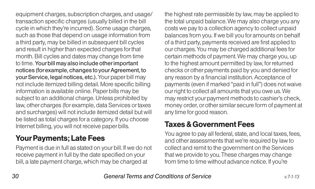equipment charges, subscription charges, and usage/ transaction specific charges (usually billed in the bill cycle in which they're incurred). Some usage charges, such as those that depend on usage information from a third party, may be billed in subsequent bill cycles and result in higher than expected charges for that month. Bill cycles and dates may change from time to time. Your bill may also include other important notices (for example, changes to your Agreement, to your Service, legal notices, etc.). Your paper bill may not include itemized billing detail. More specific billing information is available online. Paper bills may be subject to an additional charge. Unless prohibited by law, other charges (for example, data Services or taxes and surcharges) will not include itemized detail but will be listed as total charges for a category. If you choose Internet billing, you will not receive paper bills.

### Your Payments; Late Fees

Payment is due in full as stated on your bill. If we do not receive payment in full by the date specified on your bill, a late payment charge, which may be charged at

the highest rate permissible by law, may be applied to the total unpaid balance. We may also charge you any costs we pay to a collection agency to collect unpaid balances from you. If we bill you for amounts on behalf of a third party, payments received are first applied to our charges. You may be charged additional fees for certain methods of payment. We may charge you, up to the highest amount permitted by law, for returned checks or other payments paid by you and denied for any reason by a financial institution. Acceptance of payments (even if marked "paid in full") does not waive our right to collect all amounts that you owe us. We may restrict your payment methods to cashier's check, money order, or other similar secure form of payment at any time for good reason.

### Taxes & Government Fees

You agree to pay all federal, state, and local taxes, fees, and other assessments that we're required by law to collect and remit to the government on the Services that we provide to you. These charges may change from time to time without advance notice. If you're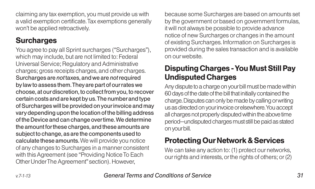claiming any tax exemption, you must provide us with a valid exemption certificate. Tax exemptions generally won't be applied retroactively.

#### **Surcharges**

You agree to pay all Sprint surcharges ("Surcharges"), which may include, but are not limited to: Federal Universal Service; Regulatory and Administrative charges; gross receipts charges, and other charges. Surcharges are *not* taxes, and we are *not* required by law to assess them. They are part of our rates we choose, at our discretion, to collect from you, to recover certain costs and are kept by us. The number and type of Surcharges will be provided on your invoice and may vary depending upon the location of the billing address of the Device and can change over time. We determine the amount for these charges, and these amounts are subject to change, as are the components used to calculate these amounts. We will provide you notice of any changes to Surcharges in a manner consistent with this Agreement (see "Providing Notice To Each Other Under The Agreement" section). However,

because some Surcharges are based on amounts set by the government or based on government formulas, it will not always be possible to provide advance notice of new Surcharges or changes in the amount of existing Surcharges. Information on Surcharges is provided during the sales transaction and is available on our website.

#### Disputing Charges - You Must Still Pay Undisputed Charges

Any dispute to a charge on your bill must be made within 60 days of the date of the bill that initially contained the charge. Disputes can only be made by calling or writing us as directed on your invoice or elsewhere. You accept all charges not properly disputed within the above time period—undisputed charges must still be paid as stated on your bill.

#### Protecting Our Network & Services

We can take any action to: (1) protect our networks, our rights and interests, or the rights of others; or (2)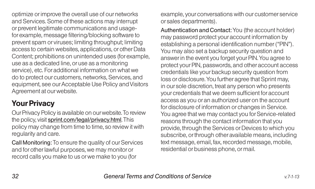optimize or improve the overall use of our networks and Services. Some of these actions may interrupt or prevent legitimate communications and usagefor example, message filtering/blocking software to prevent spam or viruses; limiting throughput; limiting access to certain websites, applications, or other Data Content; prohibitions on unintended uses (for example, use as a dedicated line, or use as a monitoring service), etc. For additional information on what we do to protect our customers, networks, Services, and equipment, see our Acceptable Use Policy and Visitors Agreement at our website.

#### Your Privacy

Our Privacy Policy is available on our website. To review the policy, visit sprint.com/legal/privacy.html. This policy may change from time to time, so review it with regularity and care.

Call Monitoring: To ensure the quality of our Services and for other lawful purposes, we may monitor or record calls you make to us or we make to you (for

example, your conversations with our customer service or sales departments).

Authentication and Contact: You (the account holder) may password protect your account information by establishing a personal identification number ("PIN"). You may also set a backup security question and answer in the event you forget your PIN. You agree to protect your PIN, passwords, and other account access credentials like your backup security question from loss or disclosure. You further agree that Sprint may, in our sole discretion, treat any person who presents your credentials that we deem sufficient for account access as you or an authorized user on the account for disclosure of information or changes in Service. You agree that we may contact you for Service-related reasons through the contact information that you provide, through the Services or Devices to which you subscribe, or through other available means, including text message, email, fax, recorded message, mobile, residential or business phone, or mail.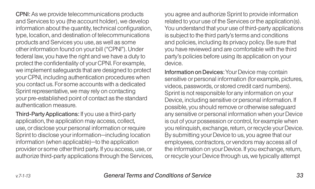CPNI: As we provide telecommunications products and Services to you (the account holder), we develop information about the quantity, technical configuration, type, location, and destination of telecommunications products and Services you use, as well as some other information found on your bill ("CPNI"). Under federal law, you have the right and we have a duty to protect the confidentiality of your CPNI. For example, we implement safeguards that are designed to protect your CPNI, including authentication procedures when you contact us. For some accounts with a dedicated Sprint representative, we may rely on contacting your pre-established point of contact as the standard authentication measure.

Third-Party Applications: If you use a third-party application, the application may access, collect, use, or disclose your personal information or require Sprint to disclose your information—including location information (when applicable)—to the application provider or some other third party. If you access, use, or authorize third-party applications through the Services, you agree and authorize Sprint to provide information related to your use of the Services or the application(s). You understand that your use of third-party applications is subject to the third party's terms and conditions and policies, including its privacy policy. Be sure that you have reviewed and are comfortable with the third party's policies before using its application on your device.

Information on Devices: Your Device may contain sensitive or personal information (for example, pictures, videos, passwords, or stored credit card numbers). Sprint is not responsible for any information on your Device, including sensitive or personal information. If possible, you should remove or otherwise safeguard any sensitive or personal information when your Device is out of your possession or control, for example when you relinquish, exchange, return, or recycle your Device. By submitting your Device to us, you agree that our employees, contractors, or vendors may access all of the information on your Device. If you exchange, return, or recycle your Device through us, we typically attempt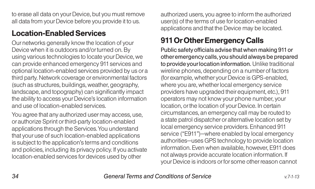to erase all data on your Device, but you must remove all data from your Device before you provide it to us.

#### Location-Enabled Services

Our networks generally know the location of your Device when it is outdoors and/or turned on. By using various technologies to locate your Device, we can provide enhanced emergency 911 services and optional location-enabled services provided by us or a third party. Network coverage or environmental factors (such as structures, buildings, weather, geography, landscape, and topography) can significantly impact the ability to access your Device's location information and use of location-enabled services.

You agree that any authorized user may access, use, or authorize Sprint or third-party location-enabled applications through the Services. You understand that your use of such location-enabled applications is subject to the application's terms and conditions and policies, including its privacy policy. If you activate location-enabled services for devices used by other

authorized users, you agree to inform the authorized user(s) of the terms of use for location-enabled applications and that the Device may be located.

### 911 Or Other Emergency Calls

Public safety officials advise that when making 911 or other emergency calls, you should always be prepared to provide your location information. Unlike traditional wireline phones, depending on a number of factors (for example, whether your Device is GPS-enabled, where you are, whether local emergency service providers have upgraded their equipment, etc.), 911 operators may not know your phone number, your location, or the location of your Device. In certain circumstances, an emergency call may be routed to a state patrol dispatcher or alternative location set by local emergency service providers. Enhanced 911 service ("E911")—where enabled by local emergency authorities—uses GPS technology to provide location information. Even when available, however, E911 does not always provide accurate location information. If your Device is indoors or for some other reason cannot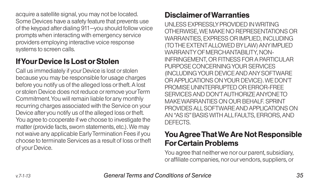acquire a satellite signal, you may not be located. Some Devices have a safety feature that prevents use of the keypad after dialing 911—you should follow voice prompts when interacting with emergency service providers employing interactive voice response systems to screen calls.

#### If Your Device Is Lost or Stolen

Call us immediately if your Device is lost or stolen because you may be responsible for usage charges before you notify us of the alleged loss or theft. A lost or stolen Device does not reduce or remove your Term Commitment. You will remain liable for any monthly recurring charges associated with the Service on your Device after you notify us of the alleged loss or theft. You agree to cooperate if we choose to investigate the matter (provide facts, sworn statements, etc.). We may not waive any applicable Early Termination Fees if you choose to terminate Services as a result of loss or theft of your Device.

# Disclaimer of Warranties

UNLESS EXPRESSLY PROVIDED IN WRITING OTHERWISE, WE MAKE NO REPRESENTATIONS OR WARRANTIES, EXPRESS OR IMPLIED, INCLUDING (TO THE EXTENT ALLOWED BY LAW) ANY IMPLIED WARRANTY OF MERCHANTABILITY, NON-INFRINGEMENT, OR FITNESS FOR A PARTICULAR PURPOSE CONCERNING YOUR SERVICES (INCLUDING YOUR DEVICE AND ANY SOFTWARE OR APPLICATIONS ON YOUR DEVICE). WE DON'T PROMISE UNINTERRUPTED OR ERROR-FREE SERVICES AND DON'T AUTHORIZE ANYONE TO MAKE WARRANTIES ON OUR BEHALF. SPRINT PROVIDES ALL SOFTWARE AND APPLICATIONS ON AN "AS IS" BASIS WITH ALL FAULTS, ERRORS, AND DEFECTS.

#### You Agree That We Are Not Responsible For Certain Problems

You agree that neither we nor our parent, subsidiary, or affiliate companies, nor our vendors, suppliers, or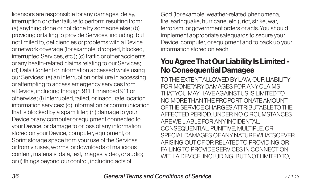licensors are responsible for any damages, delay, interruption or other failure to perform resulting from: (a) anything done or not done by someone else; (b) providing or failing to provide Services, including, but not limited to, deficiencies or problems with a Device or network coverage (for example, dropped, blocked, interrupted Services, etc.); (c) traffic or other accidents, or any health-related claims relating to our Services; (d) Data Content or information accessed while using our Services; (e) an interruption or failure in accessing or attempting to access emergency services from a Device, including through 911, Enhanced 911 or otherwise; (f) interrupted, failed, or inaccurate location information services; (g) information or communication that is blocked by a spam filter; (h) damage to your Device or any computer or equipment connected to your Device, or damage to or loss of any information stored on your Device, computer, equipment, or Sprint storage space from your use of the Services or from viruses, worms, or downloads of malicious content, materials, data, text, images, video, or audio; or (i) things beyond our control, including acts of

God (for example, weather-related phenomena, fire, earthquake, hurricane, etc.), riot, strike, war, terrorism, or government orders or acts. You should implement appropriate safeguards to secure your Device, computer, or equipment and to back up your information stored on each.

#### You Agree That Our Liability Is Limited - No Consequential Damages

TO THE EXTENT ALLOWED BY LAW, OUR LIABILITY FOR MONETARY DAMAGES FOR ANY CLAIMS THAT YOU MAY HAVE AGAINST US IS LIMITED TO NO MORE THAN THE PROPORTIONATE AMOUNT OF THE SERVICE CHARGES ATTRIBUTABLE TO THE AFFECTED PERIOD. UNDER NO CIRCUMSTANCES ARE WE LIABLE FOR ANY INCIDENTAL, CONSEQUENTIAL, PUNITIVE, MULTIPLE, OR SPECIAL DAMAGES OF ANY NATURE WHATSOEVER ARISING OUT OF OR RELATED TO PROVIDING OR FAILING TO PROVIDE SERVICES IN CONNECTION WITH A DEVICE, INCLUDING, BUT NOT LIMITED TO,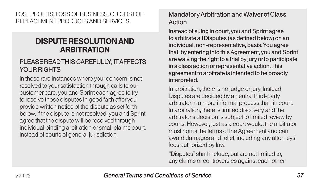LOST PROFITS, LOSS OF BUSINESS, OR COST OF REPLACEMENT PRODUCTS AND SERVICES.

#### DISPUTE RESOLUTION AND **ARBITRATION**

#### PLEASE READ THIS CAREFULLY; IT AFFECTS YOUR RIGHTS

In those rare instances where your concern is not resolved to your satisfaction through calls to our customer care, you and Sprint each agree to try to resolve those disputes in good faith after you provide written notice of the dispute as set forth below. If the dispute is not resolved, you and Sprint agree that the dispute will be resolved through individual binding arbitration or small claims court, instead of courts of general jurisdiction.

Mandatory Arbitration and Waiver of Class Action

Instead of suing in court, you and Sprint agree to arbitrate all Disputes (as defined below) on an individual, non-representative, basis. You agree that, by entering into this Agreement, you and Sprint are waiving the right to a trial by jury or to participate in a class action or representative action. This agreement to arbitrate is intended to be broadly interpreted.

In arbitration, there is no judge or jury. Instead Disputes are decided by a neutral third-party arbitrator in a more informal process than in court. In arbitration, there is limited discovery and the arbitrator's decision is subject to limited review by courts. However, just as a court would, the arbitrator must honor the terms of the Agreement and can award damages and relief, including any attorneys' fees authorized by law.

"Disputes" shall include, but are not limited to, any claims or controversies against each other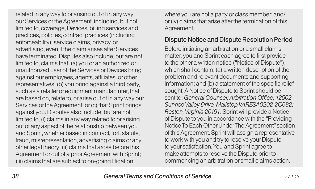related in any way to or arising out of in any way our Services or the Agreement, including, but not limited to, coverage, Devices, billing services and practices, policies, contract practices (including enforceability), service claims, privacy, or advertising, even if the claim arises after Services have terminated. Disputes also include, but are not limited to, claims that: (a) you or an authorized or unauthorized user of the Services or Devices bring against our employees, agents, affiliates, or other representatives; (b) you bring against a third party, such as a retailer or equipment manufacturer, that are based on, relate to, or arise out of in any way our Services or the Agreement; or (c) that Sprint brings against you. Disputes also include, but are not limited to, (i) claims in any way related to or arising out of any aspect of the relationship between you and Sprint, whether based in contract, tort, statute, fraud, misrepresentation, advertising claims or any other legal theory; (ii) claims that arose before this Agreement or out of a prior Agreement with Sprint; (iii) claims that are subject to on-going litigation

where you are not a party or class member; and/ or (iv) claims that arise after the termination of this Agreement.

#### Dispute Notice and Dispute Resolution Period

Before initiating an arbitration or a small claims matter, you and Sprint each agree to first provide to the other a written notice ("Notice of Dispute"), which shall contain: (a) a written description of the problem and relevant documents and supporting information; and (b) a statement of the specific relief sought. A Notice of Dispute to Sprint should be sent to: *General Counsel;Arbitration Office; 12502 SunriseValley Drive, MailstopVARESA0202-2C682; Reston,Virginia 20191*. Sprint will provide a Notice of Dispute to you in accordance with the "Providing Notice To Each Other Under The Agreement" section of this Agreement. Sprint will assign a representative to work with you and try to resolve your Dispute to your satisfaction. You and Sprint agree to make attempts to resolve the Dispute prior to commencing an arbitration or small claims action.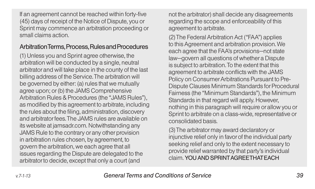If an agreement cannot be reached within forty-five (45) days of receipt of the Notice of Dispute, you or Sprint may commence an arbitration proceeding or small claims action.

#### Arbitration Terms, Process, Rules and Procedures

(1) Unless you and Sprint agree otherwise, the arbitration will be conducted by a single, neutral arbitrator and will take place in the county of the last billing address of the Service. The arbitration will be governed by either: (a) rules that we mutually agree upon; or (b) the JAMS Comprehensive Arbitration Rules & Procedures (the "JAMS Rules"), as modified by this agreement to arbitrate, including the rules about the filing, administration, discovery and arbitrator fees. The JAMS rules are available on its website at jamsadr.com. Notwithstanding any JAMS Rule to the contrary or any other provision in arbitration rules chosen, by agreement, to govern the arbitration, we each agree that all issues regarding the Dispute are delegated to the arbitrator to decide, except that only a court (and

not the arbitrator) shall decide any disagreements regarding the scope and enforceability of this agreement to arbitrate.

(2) The Federal Arbitration Act ("FAA") applies to this Agreement and arbitration provision. We each agree that the FAA's provisions—not state law—govern all questions of whether a Dispute is subject to arbitration. To the extent that this agreement to arbitrate conflicts with the JAMS Policy on Consumer Arbitrations Pursuant to Pre-Dispute Clauses Minimum Standards for Procedural Fairness (the "Minimum Standards"), the Minimum Standards in that regard will apply. However, nothing in this paragraph will require or allow you or Sprint to arbitrate on a class-wide, representative or consolidated basis.

(3) The arbitrator may award declaratory or injunctive relief only in favor of the individual party seeking relief and only to the extent necessary to provide relief warranted by that party's individual claim. YOU AND SPRINT AGREE THAT EACH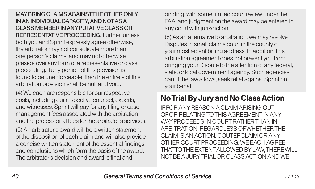MAY BRING CLAIMS AGAINST THE OTHER ONLY IN AN INDIVIDUAL CAPACITY, AND NOT AS A CLASS MEMBER IN ANY PUTATIVE CLASS OR REPRESENTATIVE PROCEEDING. Further, unless both you and Sprint expressly agree otherwise, the arbitrator may not consolidate more than one person's claims, and may not otherwise preside over any form of a representative or class proceeding. If any portion of this provision is found to be unenforceable, then the entirety of this arbitration provision shall be null and void.

(4) We each are responsible for our respective costs, including our respective counsel, experts, and witnesses. Sprint will pay for any filing or case management fees associated with the arbitration and the professional fees for the arbitrator's services.

(5) An arbitrator's award will be a written statement of the disposition of each claim and will also provide a concise written statement of the essential findings and conclusions which form the basis of the award. The arbitrator's decision and award is final and

binding, with some limited court review under the FAA, and judgment on the award may be entered in any court with jurisdiction.

(6) As an alternative to arbitration, we may resolve Disputes in small claims court in the county of your most recent billing address. In addition, this arbitration agreement does not prevent you from bringing your Dispute to the attention of any federal, state, or local government agency. Such agencies can, if the law allows, seek relief against Sprint on your behalf.

#### No Trial By Jury and No Class Action

IF FOR ANY REASON A CLAIM ARISING OUT OF OR RELATING TO THIS AGREEMENT IN ANY WAY PROCEEDS IN COURT RATHER THAN IN ARBITRATION, REGARDLESS OF WHETHER THE CLAIM IS AN ACTION, COUTERCLAIM OR ANY OTHER COURT PROCEEDING, WE EACH AGREE THAT TO THE EXTENT ALLOWED BY LAW, THERE WILL NOT BE A JURY TRIAL OR CLASS ACTION AND WE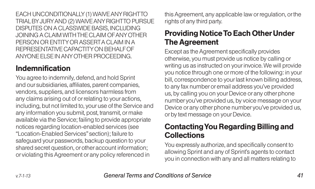EACH UNCONDITIONALLY (1) WAIVE ANY RIGHTTO TRIAL BY JURY AND (2) WAIVE ANY RIGHT TO PURSUE DISPUTES ON A CLASSWIDE BASIS, INCLUDING JOINING A CLAIM WITH THE CLAIM OF ANY OTHER PERSON OR ENTITY OR ASSERT A CLAIM IN A REPRESENTATIVE CAPACTITY ON BEHALF OF ANYONE ELSE IN ANY OTHER PROCEEDING.

#### Indemnification

You agree to indemnify, defend, and hold Sprint and our subsidiaries, affiliates, parent companies, vendors, suppliers, and licensors harmless from any claims arising out of or relating to your actions, including, but not limited to, your use of the Service and any information you submit, post, transmit, or make available via the Service; failing to provide appropriate notices regarding location-enabled services (see "Location-Enabled Services" section); failure to safeguard your passwords, backup question to your shared secret question, or other account information; or violating this Agreement or any policy referenced in

this Agreement, any applicable law or regulation, or the rights of any third party.

#### Providing Notice To Each Other Under The Agreement

Except as the Agreement specifically provides otherwise, you must provide us notice by calling or writing us as instructed on your invoice. We will provide you notice through one or more of the following: in your bill, correspondence to your last known billing address, to any fax number or email address you've provided us, by calling you on your Device or any other phone number you've provided us, by voice message on your Device or any other phone number you've provided us, or by text message on your Device.

#### Contacting You Regarding Billing and **Collections**

You expressly authorize, and specifically consent to allowing Sprint and any of Sprint's agents to contact you in connection with any and all matters relating to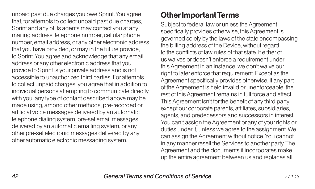unpaid past due charges you owe Sprint. You agree that, for attempts to collect unpaid past due charges, Sprint and any of its agents may contact you at any mailing address, telephone number, cellular phone number, email address, or any other electronic address that you have provided, or may in the future provide, to Sprint. You agree and acknowledge that any email address or any other electronic address that you provide to Sprint is your private address and is not accessible to unauthorized third parties. For attempts to collect unpaid charges, you agree that in addition to individual persons attempting to communicate directly with you, any type of contact described above may be made using, among other methods, pre-recorded or artificial voice messages delivered by an automatic telephone dialing system, pre-set email messages delivered by an automatic emailing system, or any other pre-set electronic messages delivered by any other automatic electronic messaging system.

#### Other Important Terms

Subject to federal law or unless the Agreement specifically provides otherwise, this Agreement is governed solely by the laws of the state encompassing the billing address of the Device, without regard to the conflicts of law rules of that state. If either of us waives or doesn't enforce a requirement under this Agreement in an instance, we don't waive our right to later enforce that requirement. Except as the Agreement specifically provides otherwise, if any part of the Agreement is held invalid or unenforceable, the rest of this Agreement remains in full force and effect. This Agreement isn't for the benefit of any third party except our corporate parents, affiliates, subsidiaries, agents, and predecessors and successors in interest. You can't assign the Agreement or any of your rights or duties under it, unless we agree to the assignment. We can assign the Agreement without notice. You cannot in any manner resell the Services to another party. The Agreement and the documents it incorporates make up the entire agreement between us and replaces all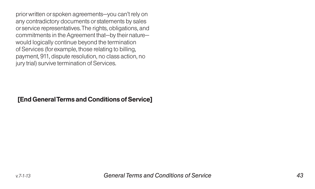prior written or spoken agreements—you can't rely on any contradictory documents or statements by sales or service representatives. The rights, obligations, and commitments in the Agreement that—by their nature would logically continue beyond the termination of Services (for example, those relating to billing, payment, 911, dispute resolution, no class action, no jury trial) survive termination of Services.

#### [End General Terms and Conditions of Service]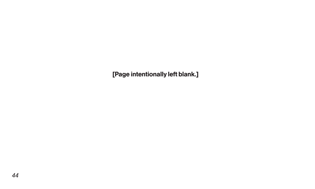[Page intentionally left blank.]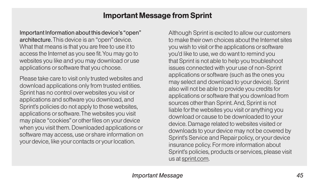#### Important Message from Sprint

Important Information about this device's "open" architecture. This device is an "open" device. What that means is that you are free to use it to access the Internet as you see fit. You may go to websites you like and you may download or use applications or software that you choose.

Please take care to visit only trusted websites and download applications only from trusted entities. Sprint has no control over websites you visit or applications and software you download, and Sprint's policies do not apply to those websites, applications or software. The websites you visit may place "cookies" or other files on your device when you visit them. Downloaded applications or software may access, use or share information on your device, like your contacts or your location.

Although Sprint is excited to allow our customers to make their own choices about the Internet sites you wish to visit or the applications or software you'd like to use, we do want to remind you that Sprint is not able to help you troubleshoot issues connected with your use of non-Sprint applications or software (such as the ones you may select and download to your device). Sprint also will not be able to provide you credits for applications or software that you download from sources other than Sprint. And, Sprint is not liable for the websites you visit or anything you download or cause to be downloaded to your device. Damage related to websites visited or downloads to your device may not be covered by Sprint's Service and Repair policy, or your device insurance policy. For more information about Sprint's policies, products or services, please visit us at sprint.com.